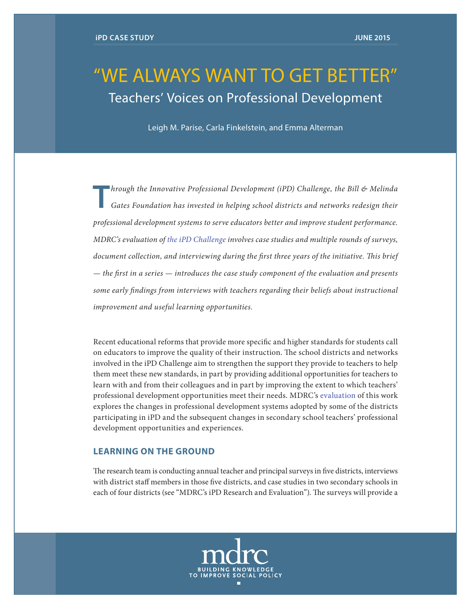# "WE ALWAYS WANT TO GET BETTER" Teachers' Voices on Professional Development

Leigh M. Parise, Carla Finkelstein, and Emma Alterman

**T***hrough the Innovative Professional Development (iPD) Challenge, the Bill & Melinda***<br><b>***Gates Foundation has invested in helping school districts and networks redesign their professional development systems to serve educators better and improve student performance. MDRC's evaluation of [the iPD Challenge](http://www.mdrc.org/publication/introduction-mdrc-s-evaluation-innovative-professional-development-challenge) involves case studies and multiple rounds of surveys, document collection, and interviewing during the first three years of the initiative. This brief — the first in a series — introduces the case study component of the evaluation and presents some early findings from interviews with teachers regarding their beliefs about instructional improvement and useful learning opportunities.*

Recent educational reforms that provide more specific and higher standards for students call on educators to improve the quality of their instruction. The school districts and networks involved in the iPD Challenge aim to strengthen the support they provide to teachers to help them meet these new standards, in part by providing additional opportunities for teachers to learn with and from their colleagues and in part by improving the extent to which teachers' professional development opportunities meet their needs. MDRC's [evaluation](http://www.mdrc.org/project/innovative-professional-development-ipd#overview) of this work explores the changes in professional development systems adopted by some of the districts participating in iPD and the subsequent changes in secondary school teachers' professional development opportunities and experiences.

# **LEARNING ON THE GROUND**

The research team is conducting annual teacher and principal surveys in five districts, interviews with district staff members in those five districts, and case studies in two secondary schools in each of four districts (see "MDRC's iPD Research and Evaluation"). The surveys will provide a

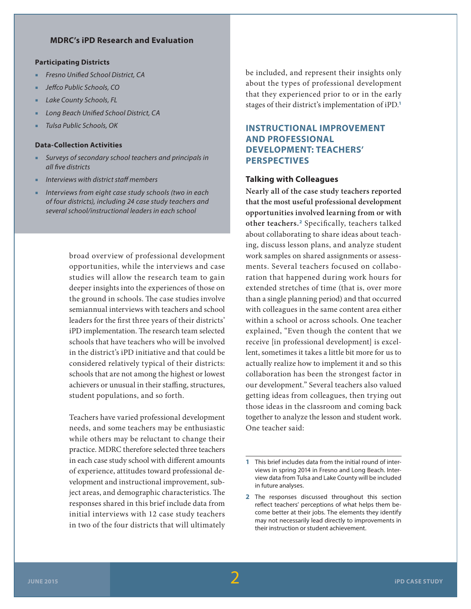## **MDRC's iPD Research and Evaluation**

#### **Participating Districts**

- *Fresno Unified School District, CA*
- *Jeffco Public Schools, CO*
- **Lake County Schools, FL**
- **Long Beach Unified School District, CA**
- *Tulsa Public Schools, OK*

#### **Data-Collection Activities**

- *Surveys of secondary school teachers and principals in all five districts*
- *Interviews with district staff members*
- *Interviews from eight case study schools (two in each of four districts), including 24 case study teachers and several school/instructional leaders in each school*

broad overview of professional development opportunities, while the interviews and case studies will allow the research team to gain deeper insights into the experiences of those on the ground in schools. The case studies involve semiannual interviews with teachers and school leaders for the first three years of their districts' iPD implementation. The research team selected schools that have teachers who will be involved in the district's iPD initiative and that could be considered relatively typical of their districts: schools that are not among the highest or lowest achievers or unusual in their staffing, structures, student populations, and so forth.

Teachers have varied professional development needs, and some teachers may be enthusiastic while others may be reluctant to change their practice. MDRC therefore selected three teachers in each case study school with different amounts of experience, attitudes toward professional development and instructional improvement, subject areas, and demographic characteristics. The responses shared in this brief include data from initial interviews with 12 case study teachers in two of the four districts that will ultimately be included, and represent their insights only about the types of professional development that they experienced prior to or in the early stages of their district's implementation of iPD.**<sup>1</sup>**

# **INSTRUCTIONAL IMPROVEMENT AND PROFESSIONAL DEVELOPMENT: TEACHERS' PERSPECTIVES**

#### **Talking with Colleagues**

**Nearly all of the case study teachers reported that the most useful professional development opportunities involved learning from or with other teachers.<sup>2</sup>** Specifically, teachers talked about collaborating to share ideas about teaching, discuss lesson plans, and analyze student work samples on shared assignments or assessments. Several teachers focused on collaboration that happened during work hours for extended stretches of time (that is, over more than a single planning period) and that occurred with colleagues in the same content area either within a school or across schools. One teacher explained, "Even though the content that we receive [in professional development] is excellent, sometimes it takes a little bit more for us to actually realize how to implement it and so this collaboration has been the strongest factor in our development." Several teachers also valued getting ideas from colleagues, then trying out those ideas in the classroom and coming back together to analyze the lesson and student work. One teacher said:

**<sup>1</sup>** This brief includes data from the initial round of interviews in spring 2014 in Fresno and Long Beach. Interview data from Tulsa and Lake County will be included in future analyses.

**<sup>2</sup>** The responses discussed throughout this section reflect teachers' perceptions of what helps them become better at their jobs. The elements they identify may not necessarily lead directly to improvements in their instruction or student achievement.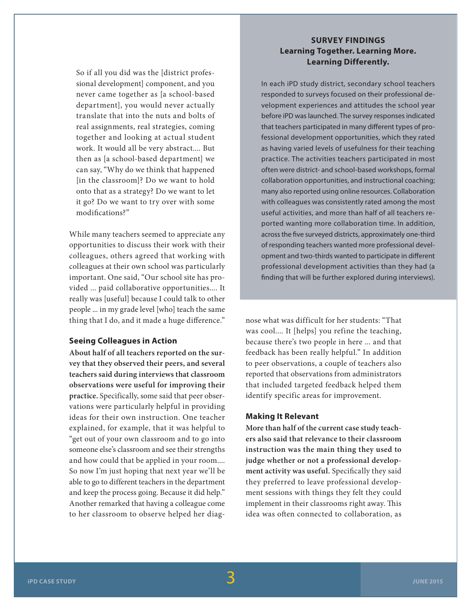So if all you did was the [district professional development] component, and you never came together as [a school-based department], you would never actually translate that into the nuts and bolts of real assignments, real strategies, coming together and looking at actual student work. It would all be very abstract.... But then as [a school-based department] we can say, "Why do we think that happened [in the classroom]? Do we want to hold onto that as a strategy? Do we want to let it go? Do we want to try over with some modifications?"

While many teachers seemed to appreciate any opportunities to discuss their work with their colleagues, others agreed that working with colleagues at their own school was particularly important. One said, "Our school site has provided ... paid collaborative opportunities.... It really was [useful] because I could talk to other people ... in my grade level [who] teach the same thing that I do, and it made a huge difference."

### **Seeing Colleagues in Action**

**About half of all teachers reported on the survey that they observed their peers, and several teachers said during interviews that classroom observations were useful for improving their practice.** Specifically, some said that peer observations were particularly helpful in providing ideas for their own instruction. One teacher explained, for example, that it was helpful to "get out of your own classroom and to go into someone else's classroom and see their strengths and how could that be applied in your room.... So now I'm just hoping that next year we'll be able to go to different teachers in the department and keep the process going. Because it did help." Another remarked that having a colleague come to her classroom to observe helped her diag-

# **SURVEY FINDINGS Learning Together. Learning More. Learning Differently.**

In each iPD study district, secondary school teachers responded to surveys focused on their professional development experiences and attitudes the school year before iPD was launched. The survey responses indicated that teachers participated in many different types of professional development opportunities, which they rated as having varied levels of usefulness for their teaching practice. The activities teachers participated in most often were district- and school-based workshops, formal collaboration opportunities, and instructional coaching; many also reported using online resources. Collaboration with colleagues was consistently rated among the most useful activities, and more than half of all teachers reported wanting more collaboration time. In addition, across the five surveyed districts, approximately one-third of responding teachers wanted more professional development and two-thirds wanted to participate in different professional development activities than they had (a finding that will be further explored during interviews).

nose what was difficult for her students: "That was cool.... It [helps] you refine the teaching, because there's two people in here ... and that feedback has been really helpful." In addition to peer observations, a couple of teachers also reported that observations from administrators that included targeted feedback helped them identify specific areas for improvement.

#### **Making It Relevant**

**More than half of the current case study teachers also said that relevance to their classroom instruction was the main thing they used to judge whether or not a professional development activity was useful.** Specifically they said they preferred to leave professional development sessions with things they felt they could implement in their classrooms right away. This idea was often connected to collaboration, as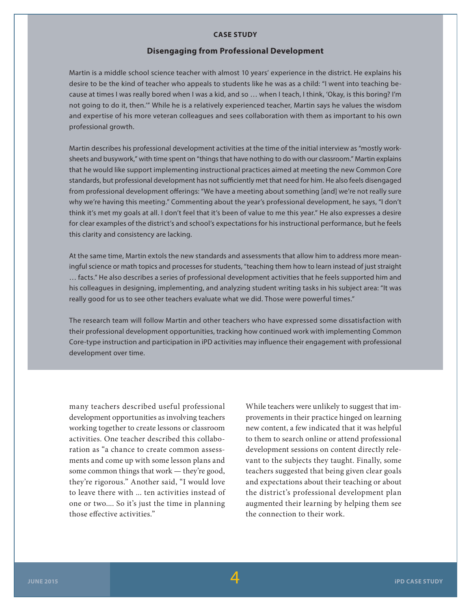#### **CASE STUDY**

#### **Disengaging from Professional Development**

Martin is a middle school science teacher with almost 10 years' experience in the district. He explains his desire to be the kind of teacher who appeals to students like he was as a child: "I went into teaching because at times I was really bored when I was a kid, and so … when I teach, I think, 'Okay, is this boring? I'm not going to do it, then.'" While he is a relatively experienced teacher, Martin says he values the wisdom and expertise of his more veteran colleagues and sees collaboration with them as important to his own professional growth.

Martin describes his professional development activities at the time of the initial interview as "mostly worksheets and busywork," with time spent on "things that have nothing to do with our classroom." Martin explains that he would like support implementing instructional practices aimed at meeting the new Common Core standards, but professional development has not sufficiently met that need for him. He also feels disengaged from professional development offerings: "We have a meeting about something [and] we're not really sure why we're having this meeting." Commenting about the year's professional development, he says, "I don't think it's met my goals at all. I don't feel that it's been of value to me this year." He also expresses a desire for clear examples of the district's and school's expectations for his instructional performance, but he feels this clarity and consistency are lacking.

At the same time, Martin extols the new standards and assessments that allow him to address more meaningful science or math topics and processes for students, "teaching them how to learn instead of just straight … facts." He also describes a series of professional development activities that he feels supported him and his colleagues in designing, implementing, and analyzing student writing tasks in his subject area: "It was really good for us to see other teachers evaluate what we did. Those were powerful times."

The research team will follow Martin and other teachers who have expressed some dissatisfaction with their professional development opportunities, tracking how continued work with implementing Common Core-type instruction and participation in iPD activities may influence their engagement with professional development over time.

many teachers described useful professional development opportunities as involving teachers working together to create lessons or classroom activities. One teacher described this collaboration as "a chance to create common assessments and come up with some lesson plans and some common things that work — they're good, they're rigorous." Another said, "I would love to leave there with ... ten activities instead of one or two.... So it's just the time in planning those effective activities."

While teachers were unlikely to suggest that improvements in their practice hinged on learning new content, a few indicated that it was helpful to them to search online or attend professional development sessions on content directly relevant to the subjects they taught. Finally, some teachers suggested that being given clear goals and expectations about their teaching or about the district's professional development plan augmented their learning by helping them see the connection to their work.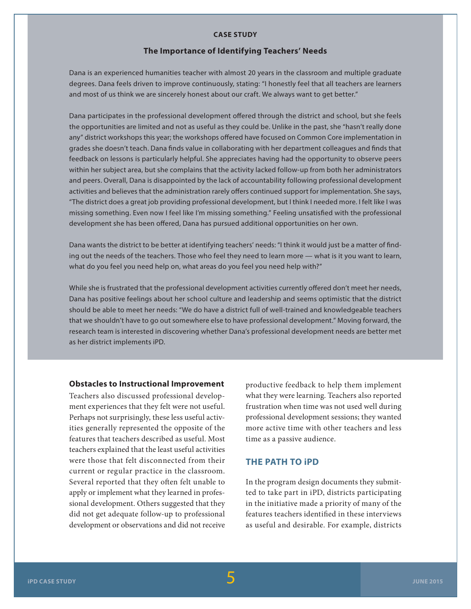#### **CASE STUDY**

#### **The Importance of Identifying Teachers' Needs**

Dana is an experienced humanities teacher with almost 20 years in the classroom and multiple graduate degrees. Dana feels driven to improve continuously, stating: "I honestly feel that all teachers are learners and most of us think we are sincerely honest about our craft. We always want to get better."

Dana participates in the professional development offered through the district and school, but she feels the opportunities are limited and not as useful as they could be. Unlike in the past, she "hasn't really done any" district workshops this year; the workshops offered have focused on Common Core implementation in grades she doesn't teach. Dana finds value in collaborating with her department colleagues and finds that feedback on lessons is particularly helpful. She appreciates having had the opportunity to observe peers within her subject area, but she complains that the activity lacked follow-up from both her administrators and peers. Overall, Dana is disappointed by the lack of accountability following professional development activities and believes that the administration rarely offers continued support for implementation. She says, "The district does a great job providing professional development, but I think I needed more. I felt like I was missing something. Even now I feel like I'm missing something." Feeling unsatisfied with the professional development she has been offered, Dana has pursued additional opportunities on her own.

Dana wants the district to be better at identifying teachers' needs: "I think it would just be a matter of finding out the needs of the teachers. Those who feel they need to learn more — what is it you want to learn, what do you feel you need help on, what areas do you feel you need help with?"

While she is frustrated that the professional development activities currently offered don't meet her needs, Dana has positive feelings about her school culture and leadership and seems optimistic that the district should be able to meet her needs: "We do have a district full of well-trained and knowledgeable teachers that we shouldn't have to go out somewhere else to have professional development." Moving forward, the research team is interested in discovering whether Dana's professional development needs are better met as her district implements iPD.

#### **Obstacles to Instructional Improvement**

Teachers also discussed professional development experiences that they felt were not useful. Perhaps not surprisingly, these less useful activities generally represented the opposite of the features that teachers described as useful. Most teachers explained that the least useful activities were those that felt disconnected from their current or regular practice in the classroom. Several reported that they often felt unable to apply or implement what they learned in professional development. Others suggested that they did not get adequate follow-up to professional development or observations and did not receive productive feedback to help them implement what they were learning. Teachers also reported frustration when time was not used well during professional development sessions; they wanted more active time with other teachers and less time as a passive audience.

# **THE PATH TO iPD**

In the program design documents they submitted to take part in iPD, districts participating in the initiative made a priority of many of the features teachers identified in these interviews as useful and desirable. For example, districts